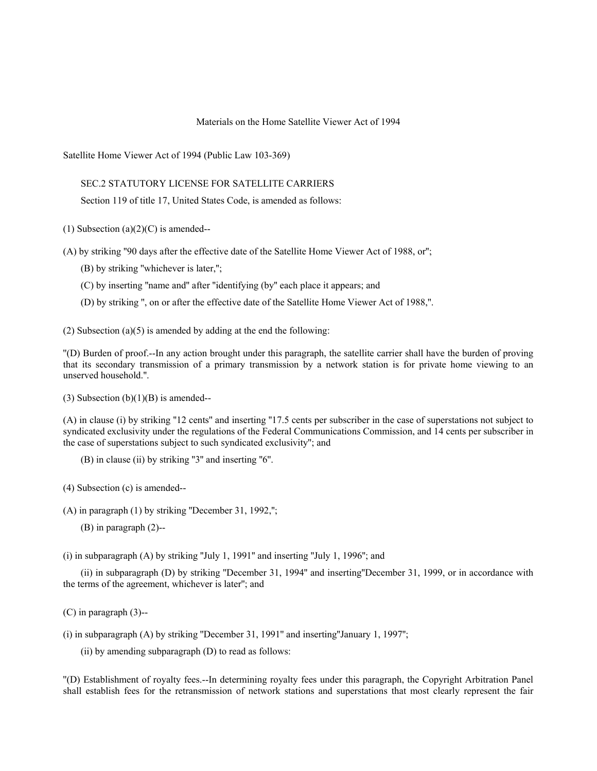## Materials on the Home Satellite Viewer Act of 1994

Satellite Home Viewer Act of 1994 (Public Law 103-369)

## SEC.2 STATUTORY LICENSE FOR SATELLITE CARRIERS

Section 119 of title 17, United States Code, is amended as follows:

(1) Subsection (a) $(2)(C)$  is amended--

(A) by striking ''90 days after the effective date of the Satellite Home Viewer Act of 1988, or'';

- (B) by striking ''whichever is later,'';
- (C) by inserting ''name and'' after ''identifying (by'' each place it appears; and
- (D) by striking '', on or after the effective date of the Satellite Home Viewer Act of 1988,''.

(2) Subsection (a)(5) is amended by adding at the end the following:

''(D) Burden of proof.--In any action brought under this paragraph, the satellite carrier shall have the burden of proving that its secondary transmission of a primary transmission by a network station is for private home viewing to an unserved household.''.

 $(3)$  Subsection  $(b)(1)(B)$  is amended--

(A) in clause (i) by striking ''12 cents'' and inserting ''17.5 cents per subscriber in the case of superstations not subject to syndicated exclusivity under the regulations of the Federal Communications Commission, and 14 cents per subscriber in the case of superstations subject to such syndicated exclusivity''; and

(B) in clause (ii) by striking ''3'' and inserting ''6''.

(4) Subsection (c) is amended--

(A) in paragraph (1) by striking ''December 31, 1992,'';

(B) in paragraph (2)--

(i) in subparagraph (A) by striking ''July 1, 1991'' and inserting ''July 1, 1996''; and

(ii) in subparagraph (D) by striking ''December 31, 1994'' and inserting''December 31, 1999, or in accordance with the terms of the agreement, whichever is later''; and

(C) in paragraph (3)--

(i) in subparagraph (A) by striking ''December 31, 1991'' and inserting''January 1, 1997'';

(ii) by amending subparagraph (D) to read as follows:

''(D) Establishment of royalty fees.--In determining royalty fees under this paragraph, the Copyright Arbitration Panel shall establish fees for the retransmission of network stations and superstations that most clearly represent the fair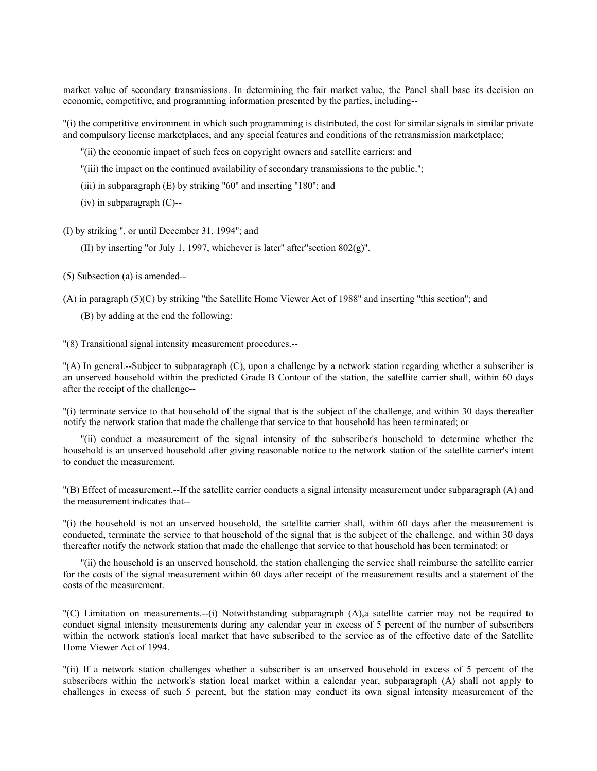market value of secondary transmissions. In determining the fair market value, the Panel shall base its decision on economic, competitive, and programming information presented by the parties, including--

''(i) the competitive environment in which such programming is distributed, the cost for similar signals in similar private and compulsory license marketplaces, and any special features and conditions of the retransmission marketplace;

''(ii) the economic impact of such fees on copyright owners and satellite carriers; and

''(iii) the impact on the continued availability of secondary transmissions to the public.'';

(iii) in subparagraph (E) by striking "60" and inserting "180"; and

(iv) in subparagraph (C)--

(I) by striking '', or until December 31, 1994''; and

(II) by inserting "or July 1, 1997, whichever is later" after "section  $802(g)$ ".

(5) Subsection (a) is amended--

(A) in paragraph (5)(C) by striking ''the Satellite Home Viewer Act of 1988'' and inserting ''this section''; and

(B) by adding at the end the following:

''(8) Transitional signal intensity measurement procedures.--

''(A) In general.--Subject to subparagraph (C), upon a challenge by a network station regarding whether a subscriber is an unserved household within the predicted Grade B Contour of the station, the satellite carrier shall, within 60 days after the receipt of the challenge--

''(i) terminate service to that household of the signal that is the subject of the challenge, and within 30 days thereafter notify the network station that made the challenge that service to that household has been terminated; or

''(ii) conduct a measurement of the signal intensity of the subscriber's household to determine whether the household is an unserved household after giving reasonable notice to the network station of the satellite carrier's intent to conduct the measurement.

''(B) Effect of measurement.--If the satellite carrier conducts a signal intensity measurement under subparagraph (A) and the measurement indicates that--

''(i) the household is not an unserved household, the satellite carrier shall, within 60 days after the measurement is conducted, terminate the service to that household of the signal that is the subject of the challenge, and within 30 days thereafter notify the network station that made the challenge that service to that household has been terminated; or

''(ii) the household is an unserved household, the station challenging the service shall reimburse the satellite carrier for the costs of the signal measurement within 60 days after receipt of the measurement results and a statement of the costs of the measurement.

''(C) Limitation on measurements.--(i) Notwithstanding subparagraph (A),a satellite carrier may not be required to conduct signal intensity measurements during any calendar year in excess of 5 percent of the number of subscribers within the network station's local market that have subscribed to the service as of the effective date of the Satellite Home Viewer Act of 1994.

''(ii) If a network station challenges whether a subscriber is an unserved household in excess of 5 percent of the subscribers within the network's station local market within a calendar year, subparagraph (A) shall not apply to challenges in excess of such 5 percent, but the station may conduct its own signal intensity measurement of the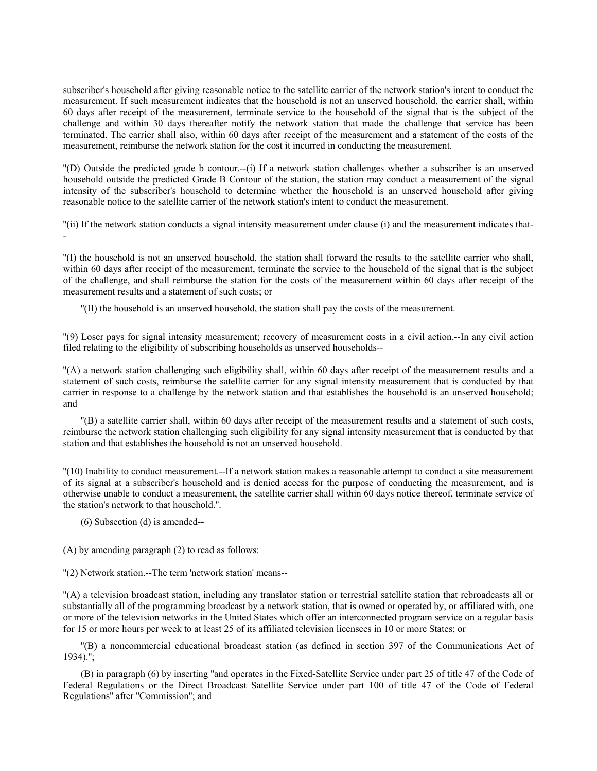subscriber's household after giving reasonable notice to the satellite carrier of the network station's intent to conduct the measurement. If such measurement indicates that the household is not an unserved household, the carrier shall, within 60 days after receipt of the measurement, terminate service to the household of the signal that is the subject of the challenge and within 30 days thereafter notify the network station that made the challenge that service has been terminated. The carrier shall also, within 60 days after receipt of the measurement and a statement of the costs of the measurement, reimburse the network station for the cost it incurred in conducting the measurement.

''(D) Outside the predicted grade b contour.--(i) If a network station challenges whether a subscriber is an unserved household outside the predicted Grade B Contour of the station, the station may conduct a measurement of the signal intensity of the subscriber's household to determine whether the household is an unserved household after giving reasonable notice to the satellite carrier of the network station's intent to conduct the measurement.

''(ii) If the network station conducts a signal intensity measurement under clause (i) and the measurement indicates that- -

''(I) the household is not an unserved household, the station shall forward the results to the satellite carrier who shall, within 60 days after receipt of the measurement, terminate the service to the household of the signal that is the subject of the challenge, and shall reimburse the station for the costs of the measurement within 60 days after receipt of the measurement results and a statement of such costs; or

''(II) the household is an unserved household, the station shall pay the costs of the measurement.

''(9) Loser pays for signal intensity measurement; recovery of measurement costs in a civil action.--In any civil action filed relating to the eligibility of subscribing households as unserved households--

''(A) a network station challenging such eligibility shall, within 60 days after receipt of the measurement results and a statement of such costs, reimburse the satellite carrier for any signal intensity measurement that is conducted by that carrier in response to a challenge by the network station and that establishes the household is an unserved household; and

''(B) a satellite carrier shall, within 60 days after receipt of the measurement results and a statement of such costs, reimburse the network station challenging such eligibility for any signal intensity measurement that is conducted by that station and that establishes the household is not an unserved household.

''(10) Inability to conduct measurement.--If a network station makes a reasonable attempt to conduct a site measurement of its signal at a subscriber's household and is denied access for the purpose of conducting the measurement, and is otherwise unable to conduct a measurement, the satellite carrier shall within 60 days notice thereof, terminate service of the station's network to that household.''.

(6) Subsection (d) is amended--

(A) by amending paragraph (2) to read as follows:

''(2) Network station.--The term 'network station' means--

''(A) a television broadcast station, including any translator station or terrestrial satellite station that rebroadcasts all or substantially all of the programming broadcast by a network station, that is owned or operated by, or affiliated with, one or more of the television networks in the United States which offer an interconnected program service on a regular basis for 15 or more hours per week to at least 25 of its affiliated television licensees in 10 or more States; or

''(B) a noncommercial educational broadcast station (as defined in section 397 of the Communications Act of 1934).'';

(B) in paragraph (6) by inserting ''and operates in the Fixed-Satellite Service under part 25 of title 47 of the Code of Federal Regulations or the Direct Broadcast Satellite Service under part 100 of title 47 of the Code of Federal Regulations'' after ''Commission''; and